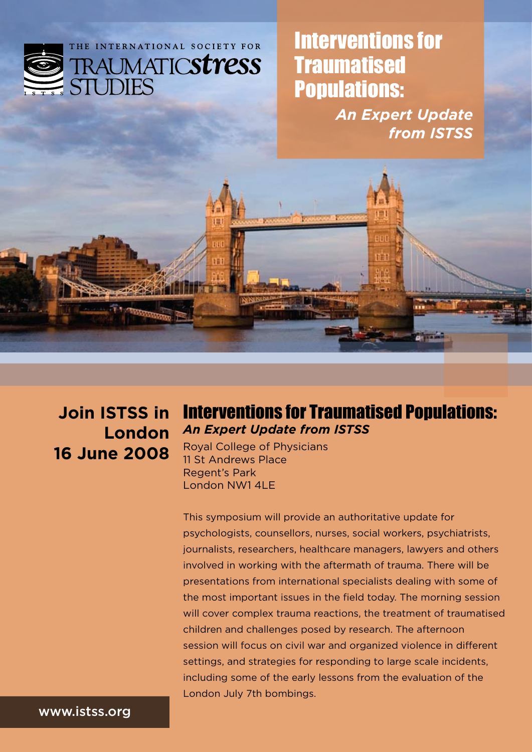

Interventions for **Traumatised** Populations:

> *An Expert Update from ISTSS*



**Join ISTSS in London 16 June 2008**

# Interventions for Traumatised Populations: *An Expert Update from ISTSS*

Royal College of Physicians 11 St Andrews Place Regent's Park London NW1 4LE

This symposium will provide an authoritative update for psychologists, counsellors, nurses, social workers, psychiatrists, journalists, researchers, healthcare managers, lawyers and others involved in working with the aftermath of trauma. There will be presentations from international specialists dealing with some of the most important issues in the field today. The morning session will cover complex trauma reactions, the treatment of traumatised children and challenges posed by research. The afternoon session will focus on civil war and organized violence in different settings, and strategies for responding to large scale incidents, including some of the early lessons from the evaluation of the London July 7th bombings.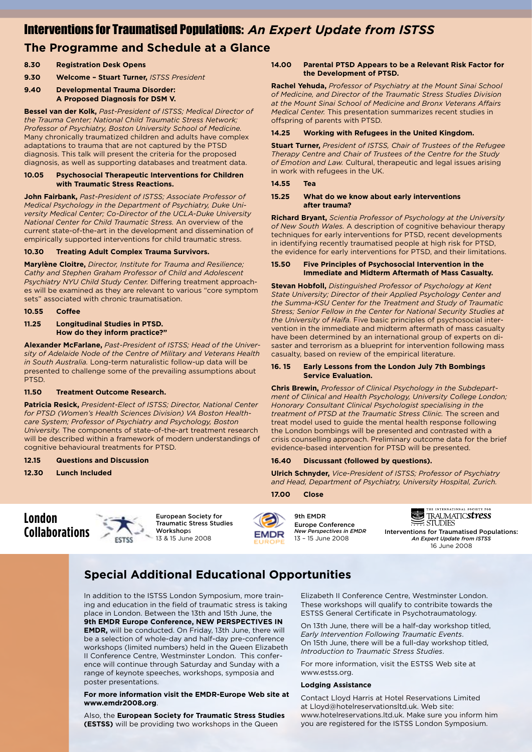### Interventions for Traumatised Populations: *An Expert Update from ISTSS*

# **The Programme and Schedule at a Glance**

- **8.30 Registration Desk Opens**
- **9.30 Welcome Stuart Turner,** *ISTSS President*

#### **9.40 Developmental Trauma Disorder: A Proposed Diagnosis for DSM V.**

**Bessel van der Kolk,** *Past-President of ISTSS; Medical Director of the Trauma Center; National Child Traumatic Stress Network; Professor of Psychiatry, Boston University School of Medicine.*  Many chronically traumatized children and adults have complex adaptations to trauma that are not captured by the PTSD diagnosis. This talk will present the criteria for the proposed diagnosis, as well as supporting databases and treatment data.

#### **10.05 Psychosocial Therapeutic Interventions for Children with Traumatic Stress Reactions.**

**John Fairbank,** *Past-President of ISTSS; Associate Professor of Medical Psychology in the Department of Psychiatry, Duke University Medical Center; Co-Director of the UCLA-Duke University National Center for Child Traumatic Stress.* An overview of the current state-of-the-art in the development and dissemination of empirically supported interventions for child traumatic stress.

### **10.30 Treating Adult Complex Trauma Survivors.**

**Marylène Cloitre,** *Director, Institute for Trauma and Resilience; Cathy and Stephen Graham Professor of Child and Adolescent Psychiatry NYU Child Study Center.* Differing treatment approaches will be examined as they are relevant to various "core symptom sets" associated with chronic traumatisation.

#### **10.55 Coffee**

#### **11.25 Longitudinal Studies in PTSD. How do they inform practice?"**

**Alexander McFarlane,** *Past-President of ISTSS; Head of the University of Adelaide Node of the Centre of Military and Veterans Health in South Australia.* Long-term naturalistic follow-up data will be presented to challenge some of the prevailing assumptions about PTSD.

#### **11.50 Treatment Outcome Research.**

**Patricia Resick,** *President-Elect of ISTSS; Director, National Center for PTSD (Women's Health Sciences Division) VA Boston Healthcare System; Professor of Psychiatry and Psychology, Boston University.* The components of state-of-the-art treatment research will be described within a framework of modern understandings of cognitive behavioural treatments for PTSD.

#### **12.15 Questions and Discussion**

**12.30 Lunch Included**

#### **14.00 Parental PTSD Appears to be a Relevant Risk Factor for the Development of PTSD.**

**Rachel Yehuda,** *Professor of Psychiatry at the Mount Sinai School of Medicine, and Director of the Traumatic Stress Studies Division at the Mount Sinai School of Medicine and Bronx Veterans Affairs Medical Center.* This presentation summarizes recent studies in offspring of parents with PTSD.

#### **14.25 Working with Refugees in the United Kingdom.**

**Stuart Turner,** *President of ISTSS, Chair of Trustees of the Refugee Therapy Centre and Chair of Trustees of the Centre for the Study of Emotion and Law.* Cultural, therapeutic and legal issues arising in work with refugees in the UK.

#### **14.55 Tea**

#### **15.25 What do we know about early interventions after trauma?**

**Richard Bryant,** *Scientia Professor of Psychology at the University of New South Wales.* A description of cognitive behaviour therapy techniques for early interventions for PTSD, recent developments in identifying recently traumatised people at high risk for PTSD, the evidence for early interventions for PTSD, and their limitations.

#### **15.50 Five Principles of Psychosocial Intervention in the Immediate and Midterm Aftermath of Mass Casualty.**

**Stevan Hobfoll,** *Distinguished Professor of Psychology at Kent State University; Director of their Applied Psychology Center and the Summa-KSU Center for the Treatment and Study of Traumatic Stress; Senior Fellow in the Center for National Security Studies at the University of Haifa.* Five basic principles of psychosocial intervention in the immediate and midterm aftermath of mass casualty have been determined by an international group of experts on disaster and terrorism as a blueprint for intervention following mass casualty, based on review of the empirical literature.

#### **16. 15 Early Lessons from the London July 7th Bombings Service Evaluation.**

**Chris Brewin,** *Professor of Clinical Psychology in the Subdepartment of Clinical and Health Psychology, University College London; Honorary Consultant Clinical Psychologist specialising in the treatment of PTSD at the Traumatic Stress Clinic.* The screen and treat model used to guide the mental health response following the London bombings will be presented and contrasted with a crisis counselling approach. Preliminary outcome data for the brief evidence-based intervention for PTSD will be presented.

### **16.40 Discussant (followed by questions).**

**Ulrich Schnyder,** *Vice-President of ISTSS; Professor of Psychiatry and Head, Department of Psychiatry, University Hospital, Zurich.*

#### **17.00 Close**





**EMDR** 





Interventions for Traumatised Populations: *An Expert Update from ISTSS* 16 June 2008

# **Special Additional Educational Opportunities**

In addition to the ISTSS London Symposium, more training and education in the field of traumatic stress is taking place in London. Between the 13th and 15th June, the **9th EMDR Europe Conference, NEW PERSPECTIVES IN EMDR,** will be conducted. On Friday, 13th June, there will be a selection of whole-day and half-day pre-conference workshops (limited numbers) held in the Queen Elizabeth II Conference Centre, Westminster London. This conference will continue through Saturday and Sunday with a range of keynote speeches, workshops, symposia and poster presentations.

#### **For more information visit the EMDR-Europe Web site at www.emdr2008.org**.

Also, the **European Society for Traumatic Stress Studies (ESTSS)** will be providing two workshops in the Queen

Elizabeth II Conference Centre, Westminster London. These workshops will qualify to contribite towards the ESTSS General Certificate in Psychotraumatology.

On 13th June, there will be a half-day workshop titled, *Early Intervention Following Traumatic Events*. On 15th June, there will be a full-day workshop titled, *Introduction to Traumatic Stress Studies*.

For more information, visit the ESTSS Web site at www.estss.org.

#### **Lodging Assistance**

Contact Lloyd Harris at Hotel Reservations Limited at Lloyd@hotelreservationsltd.uk. Web site: www.hotelreservations.ltd.uk. Make sure you inform him you are registered for the ISTSS London Symposium.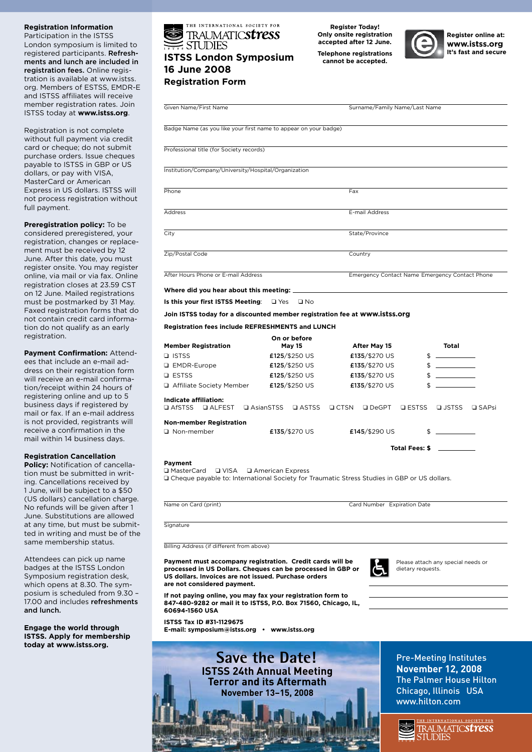#### **Registration Information**

Participation in the ISTSS London symposium is limited to registered participants. Refreshments and lunch are included in registration fees. Online registration is available at www.istss. org. Members of ESTSS, EMDR-E and ISTSS affiliates will receive member registration rates. Join ISTSS today at **www.istss.org**.

Registration is not complete without full payment via credit card or cheque; do not submit purchase orders. Issue cheques payable to ISTSS in GBP or US dollars, or pay with VISA, MasterCard or American Express in US dollars. ISTSS will not process registration without full payment.

#### **Preregistration policy:** To be

considered preregistered, your registration, changes or replacement must be received by 12 June. After this date, you must register onsite. You may register online, via mail or via fax. Online registration closes at 23.59 CST on 12 June. Mailed registrations must be postmarked by 31 May. Faxed registration forms that do not contain credit card information do not qualify as an early registration.

**Payment Confirmation:** Attendees that include an e-mail address on their registration form will receive an e-mail confirmation/receipt within 24 hours of registering online and up to 5 business days if registered by mail or fax. If an e-mail address is not provided, registrants will receive a confirmation in the mail within 14 business days.

#### **Registration Cancellation**

**Policy:** Notification of cancellation must be submitted in writing. Cancellations received by 1 June, will be subject to a \$50 (US dollars) cancellation charge. No refunds will be given after 1 June. Substitutions are allowed at any time, but must be submitted in writing and must be of the same membership status.

Attendees can pick up name badges at the ISTSS London Symposium registration desk, which opens at 8.30. The symposium is scheduled from 9.30 – 17.00 and includes refreshments and lunch.

**Engage the world through ISTSS. Apply for membership today at www.istss.org.**



#### **Register Today! Only onsite registration accepted after 12 June. Telephone registrations cannot be accepted.**



**Register online at: www.istss.org**

| Given Name/First Name                                                                                                                                                                                           |                               |                                                | Surname/Family Name/Last Name                           |                                                                                                                                                                                                                                                                                                  |  |  |
|-----------------------------------------------------------------------------------------------------------------------------------------------------------------------------------------------------------------|-------------------------------|------------------------------------------------|---------------------------------------------------------|--------------------------------------------------------------------------------------------------------------------------------------------------------------------------------------------------------------------------------------------------------------------------------------------------|--|--|
| Badge Name (as you like your first name to appear on your badge)                                                                                                                                                |                               |                                                |                                                         |                                                                                                                                                                                                                                                                                                  |  |  |
| Professional title (for Society records)                                                                                                                                                                        |                               |                                                |                                                         |                                                                                                                                                                                                                                                                                                  |  |  |
| Institution/Company/University/Hospital/Organization                                                                                                                                                            |                               |                                                |                                                         |                                                                                                                                                                                                                                                                                                  |  |  |
| Phone                                                                                                                                                                                                           |                               | Fax                                            |                                                         |                                                                                                                                                                                                                                                                                                  |  |  |
|                                                                                                                                                                                                                 |                               |                                                |                                                         |                                                                                                                                                                                                                                                                                                  |  |  |
| Address                                                                                                                                                                                                         |                               | E-mail Address                                 |                                                         |                                                                                                                                                                                                                                                                                                  |  |  |
| City                                                                                                                                                                                                            |                               | State/Province                                 |                                                         |                                                                                                                                                                                                                                                                                                  |  |  |
| Zip/Postal Code                                                                                                                                                                                                 |                               | Country                                        |                                                         |                                                                                                                                                                                                                                                                                                  |  |  |
| After Hours Phone or E-mail Address                                                                                                                                                                             |                               | Emergency Contact Name Emergency Contact Phone |                                                         |                                                                                                                                                                                                                                                                                                  |  |  |
| Where did you hear about this meeting: ____                                                                                                                                                                     |                               |                                                |                                                         |                                                                                                                                                                                                                                                                                                  |  |  |
| Is this your first ISTSS Meeting: $\Box$ Yes $\Box$ No                                                                                                                                                          |                               |                                                |                                                         |                                                                                                                                                                                                                                                                                                  |  |  |
| Join ISTSS today for a discounted member registration fee at WWW. istss. Org                                                                                                                                    |                               |                                                |                                                         |                                                                                                                                                                                                                                                                                                  |  |  |
| <b>Registration fees include REFRESHMENTS and LUNCH</b>                                                                                                                                                         |                               |                                                |                                                         |                                                                                                                                                                                                                                                                                                  |  |  |
|                                                                                                                                                                                                                 |                               |                                                |                                                         |                                                                                                                                                                                                                                                                                                  |  |  |
| <b>Member Registration</b>                                                                                                                                                                                      | On or before<br><b>May 15</b> | After May 15                                   |                                                         | Total                                                                                                                                                                                                                                                                                            |  |  |
| <b>D</b> ISTSS                                                                                                                                                                                                  | £125/\$250 US                 | £135/\$270 US                                  |                                                         | $\frac{1}{2}$                                                                                                                                                                                                                                                                                    |  |  |
| <b>Q</b> EMDR-Europe                                                                                                                                                                                            | £125/\$250 US                 | £135/\$270 US                                  |                                                         | $\sim$ $\sim$                                                                                                                                                                                                                                                                                    |  |  |
| <b>Q</b> ESTSS                                                                                                                                                                                                  | £125/\$250 US                 | £135/\$270 US                                  |                                                         | $\frac{1}{2}$                                                                                                                                                                                                                                                                                    |  |  |
| □ Affiliate Society Member                                                                                                                                                                                      | £125/\$250 US                 | £135/\$270 US                                  |                                                         | $\mathbb{S}$ and $\mathbb{S}$ and $\mathbb{S}$ and $\mathbb{S}$ and $\mathbb{S}$ and $\mathbb{S}$ and $\mathbb{S}$ and $\mathbb{S}$ and $\mathbb{S}$ and $\mathbb{S}$ and $\mathbb{S}$ and $\mathbb{S}$ and $\mathbb{S}$ and $\mathbb{S}$ and $\mathbb{S}$ and $\mathbb{S}$ and $\mathbb{S}$ and |  |  |
| Indicate affiliation:<br>Q AfSTSS Q ALFEST Q AsianSTSS Q ASTSS Q CTSN Q DeGPT Q ESTSS Q JSTSS Q SAPsi                                                                                                           |                               |                                                |                                                         |                                                                                                                                                                                                                                                                                                  |  |  |
| <b>Non-member Registration</b>                                                                                                                                                                                  |                               |                                                |                                                         |                                                                                                                                                                                                                                                                                                  |  |  |
| □ Non-member                                                                                                                                                                                                    | £135/\$270 US                 | £145/\$290 US                                  |                                                         | $\frac{1}{2}$                                                                                                                                                                                                                                                                                    |  |  |
|                                                                                                                                                                                                                 |                               |                                                | Total Fees: \$ _________                                |                                                                                                                                                                                                                                                                                                  |  |  |
| Payment<br>□ MasterCard □ VISA □ American Express<br>□ Cheque payable to: International Society for Traumatic Stress Studies in GBP or US dollars.                                                              |                               |                                                |                                                         |                                                                                                                                                                                                                                                                                                  |  |  |
| Name on Card (print)                                                                                                                                                                                            | Card Number Expiration Date   |                                                |                                                         |                                                                                                                                                                                                                                                                                                  |  |  |
| Signature                                                                                                                                                                                                       |                               |                                                |                                                         |                                                                                                                                                                                                                                                                                                  |  |  |
| Billing Address (if different from above)                                                                                                                                                                       |                               |                                                |                                                         |                                                                                                                                                                                                                                                                                                  |  |  |
| Payment must accompany registration. Credit cards will be<br>processed in US Dollars. Cheques can be processed in GBP or<br>US dollars. Invoices are not issued. Purchase orders<br>are not considered payment. |                               |                                                | Please attach any special needs or<br>dietary requests. |                                                                                                                                                                                                                                                                                                  |  |  |
| If not paying online, you may fax your registration form to                                                                                                                                                     |                               |                                                |                                                         |                                                                                                                                                                                                                                                                                                  |  |  |



**E-mail: symposium@istss.org • www.istss.org**